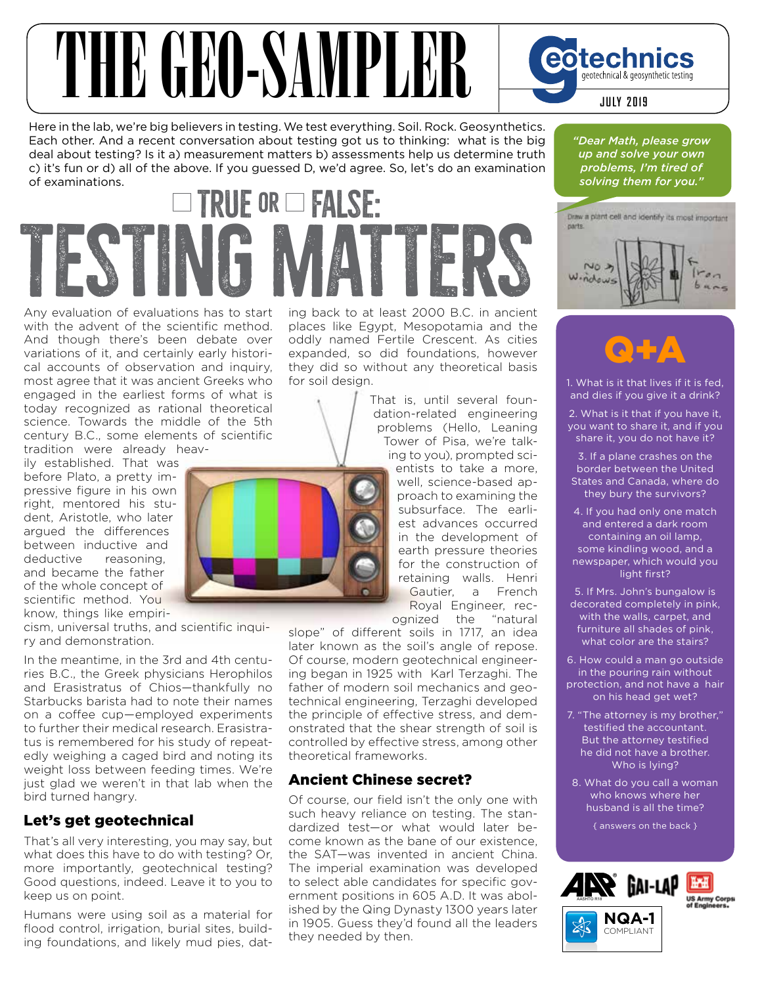# THE GEO-SAMPLER **Cotechnics**

Here in the lab, we're big believers in testing. We test everything. Soil. Rock. Geosynthetics. Each other. And a recent conversation about testing got us to thinking: what is the big deal about testing? Is it a) measurement matters b) assessments help us determine truth c) it's fun or d) all of the above. If you guessed D, we'd agree. So, let's do an examination of examinations.

# **True or False: TESTING MATERS**

Any evaluation of evaluations has to start with the advent of the scientific method. And though there's been debate over variations of it, and certainly early historical accounts of observation and inquiry, most agree that it was ancient Greeks who engaged in the earliest forms of what is today recognized as rational theoretical science. Towards the middle of the 5th century B.C., some elements of scientific tradition were already heav-

ily established. That was before Plato, a pretty impressive figure in his own right, mentored his student, Aristotle, who later argued the differences between inductive and deductive reasoning, and became the father of the whole concept of scientific method. You know, things like empiri-

cism, universal truths, and scientific inquiry and demonstration.

In the meantime, in the 3rd and 4th centuries B.C., the Greek physicians Herophilos and Erasistratus of Chios—thankfully no Starbucks barista had to note their names on a coffee cup—employed experiments to further their medical research. Erasistratus is remembered for his study of repeatedly weighing a caged bird and noting its weight loss between feeding times. We're just glad we weren't in that lab when the bird turned hangry.

#### Let's get geotechnical

That's all very interesting, you may say, but what does this have to do with testing? Or, more importantly, geotechnical testing? Good questions, indeed. Leave it to you to keep us on point.

Humans were using soil as a material for flood control, irrigation, burial sites, building foundations, and likely mud pies, dating back to at least 2000 B.C. in ancient places like Egypt, Mesopotamia and the oddly named Fertile Crescent. As cities expanded, so did foundations, however they did so without any theoretical basis for soil design.

> That is, until several foundation-related engineering problems (Hello, Leaning Tower of Pisa, we're talking to you), prompted sci-

entists to take a more, well, science-based approach to examining the subsurface. The earliest advances occurred in the development of earth pressure theories for the construction of retaining walls. Henri Gautier, a French Royal Engineer, recognized the "natural

slope" of different soils in 1717, an idea

later known as the soil's angle of repose. Of course, modern geotechnical engineering began in 1925 with Karl Terzaghi. The father of modern soil mechanics and geotechnical engineering, Terzaghi developed the principle of effective stress, and demonstrated that the shear strength of soil is controlled by effective stress, among other theoretical frameworks.

#### Ancient Chinese secret?

Of course, our field isn't the only one with such heavy reliance on testing. The standardized test—or what would later become known as the bane of our existence, the SAT—was invented in ancient China. The imperial examination was developed to select able candidates for specific government positions in 605 A.D. It was abolished by the Qing Dynasty 1300 years later in 1905. Guess they'd found all the leaders they needed by then.

*"Dear Math, please grow up and solve your own problems, I'm tired of solving them for you."*





1. What is it that lives if it is fed, and dies if you give it a drink?

2. What is it that if you have it, you want to share it, and if you share it, you do not have it?

3. If a plane crashes on the border between the United States and Canada, where do they bury the survivors?

4. If you had only one match and entered a dark room containing an oil lamp, some kindling wood, and a newspaper, which would you light first?

5. If Mrs. John's bungalow is decorated completely in pink, with the walls, carpet, and furniture all shades of pink, what color are the stairs?

6. How could a man go outside in the pouring rain without protection, and not have a hair on his head get wet?

7. "The attorney is my brother," testified the accountant. But the attorney testified he did not have a brother. Who is lying?

8. What do you call a woman who knows where her husband is all the time?

{ answers on the back }